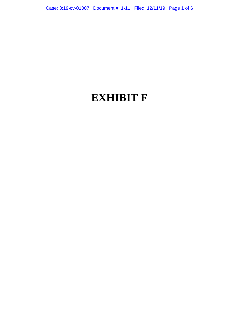# **EXHIBIT F**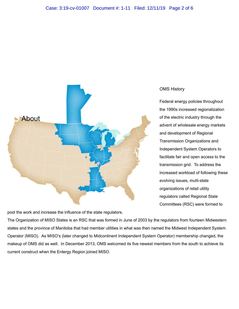

OMS History

Federal energy policies throughout the 1990s increased regionalization of the electric industry through the advent of wholesale energy markets and development of Regional Transmission Organizations and Independent System Operators to facilitate fair and open access to the transmission grid. To address the increased workload of following these evolving issues, multi-state organizations of retail utility regulators called Regional State Committees (RSC) were formed to

pool the work and increase the influence of the state regulators.

The Organization of MISO States is an RSC that was formed in June of 2003 by the regulators from fourteen Midwestern states and the province of Manitoba that had member utilities in what was then named the Midwest Independent System Operator (MISO). As MISO's (later changed to Midcontinent Independent System Operator) membership changed, the makeup of OMS did as well. In December 2013, OMS welcomed its five newest members from the south to achieve its current construct when the Entergy Region joined MISO.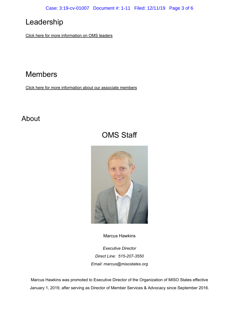## Leadership

[Click here for more information on OMS leaders](https://www.misostates.org/index.php/about/leadership)

## Members

[Click here for more information about our associate members](https://www.misostates.org/images/Members/OMS_Associate_Member_List_01Nov2019.pdf)

### About

## OMS Staff



Marcus [Hawkins](https://www.misostates.org/index.php/about/oms-staff/42-marcus-hawkins)

*Executive Director Direct Line: 515-207-3550 Email: [marcus@misostates.org](mailto:marcus@misostates.org)*

Marcus Hawkins was promoted to Executive Director of the Organization of MISO States effective January 1, 2019, after serving as Director of Member Services & Advocacy since September 2016.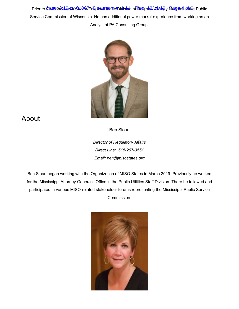Prior to <mark>OMSS, he Nas a Senio 7 Engineer meme</mark>#Division o<mark>F Reg</mark>ional Energy Mangets artific Public Service Commission of Wisconsin. He has additional power market experience from working as an Analyst at PA Consulting Group.



### About

Ben [Sloan](https://www.misostates.org/index.php/about/oms-staff/307-ben-sloan)

*Director of Regulatory Affairs Direct Line: 515-207-3551 Email: [ben@misostates.org](mailto:ben@misostates.org)*

Ben Sloan began working with the Organization of MISO States in March 2019. Previously he worked for the Mississippi Attorney General's Office in the Public Utilities Staff Division. There he followed and participated in various MISO-related stakeholder forums representing the Mississippi Public Service Commission.

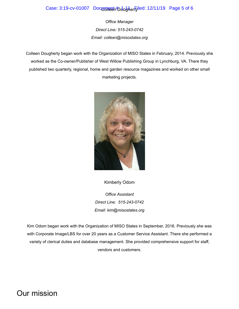#### Case: 3:19-cv-01007 Document bdudher Filed: 12/11/19 Page 5 of 6

*Office Manager Direct Line: 515-243-0742 Email: [colleen@misostates.org](mailto:colleen@misostates.org)*

Colleen Dougherty began work with the Organization of MISO States in February, 2014. Previously she worked as the Co-owner/Publisher of West Willow Publishing Group in Lynchburg, VA. There they published two quarterly, regional, home and garden resource magazines and worked on other small marketing projects.



[Kimberly](https://www.misostates.org/index.php/about/oms-staff/44-kimberly-odom) Odom

*Office Assistant Direct Line: 515-243-0742 Email: [kim@misostates.org](mailto:kim@misostates.org)*

Kim Odom began work with the Organization of MISO States in September, 2016. Previously she was with Corporate Image/LBS for over 20 years as a Customer Service Assistant. There she performed a variety of clerical duties and database management. She provided comprehensive support for staff, vendors and customers.

Our mission